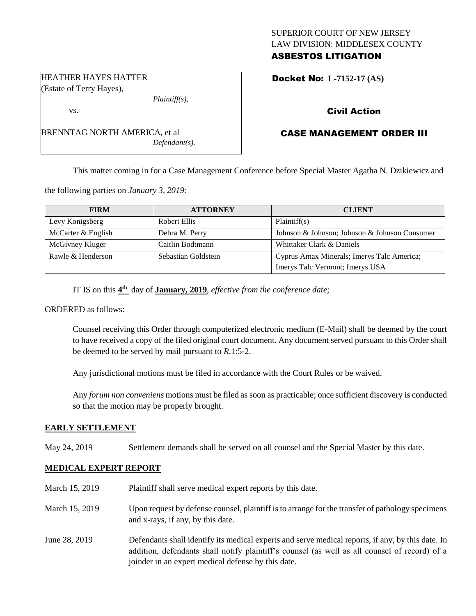# SUPERIOR COURT OF NEW JERSEY LAW DIVISION: MIDDLESEX COUNTY ASBESTOS LITIGATION

Docket No: **L-7152-17 (AS)** 

# Civil Action

# CASE MANAGEMENT ORDER III

This matter coming in for a Case Management Conference before Special Master Agatha N. Dzikiewicz and

the following parties on *January 3, 2019:*

BRENNTAG NORTH AMERICA, et al

| <b>FIRM</b>        | <b>ATTORNEY</b>     | <b>CLIENT</b>                                 |
|--------------------|---------------------|-----------------------------------------------|
| Levy Konigsberg    | Robert Ellis        | Plaintiff(s)                                  |
| McCarter & English | Debra M. Perry      | Johnson & Johnson; Johnson & Johnson Consumer |
| McGivney Kluger    | Caitlin Bodtmann    | Whittaker Clark & Daniels                     |
| Rawle & Henderson  | Sebastian Goldstein | Cyprus Amax Minerals; Imerys Talc America;    |
|                    |                     | Imerys Talc Vermont; Imerys USA               |

IT IS on this  $4^{\text{th}}$  day of **January, 2019**, *effective from the conference date*;

*Plaintiff(s),*

*Defendant(s).*

ORDERED as follows:

Counsel receiving this Order through computerized electronic medium (E-Mail) shall be deemed by the court to have received a copy of the filed original court document. Any document served pursuant to this Order shall be deemed to be served by mail pursuant to *R*.1:5-2.

Any jurisdictional motions must be filed in accordance with the Court Rules or be waived.

Any *forum non conveniens* motions must be filed as soon as practicable; once sufficient discovery is conducted so that the motion may be properly brought.

### **EARLY SETTLEMENT**

May 24, 2019 Settlement demands shall be served on all counsel and the Special Master by this date.

# **MEDICAL EXPERT REPORT**

| March 15, 2019 | Plaintiff shall serve medical expert reports by this date.                                                                                                                                                                                               |
|----------------|----------------------------------------------------------------------------------------------------------------------------------------------------------------------------------------------------------------------------------------------------------|
| March 15, 2019 | Upon request by defense counsel, plaintiff is to arrange for the transfer of pathology specimens<br>and x-rays, if any, by this date.                                                                                                                    |
| June 28, 2019  | Defendants shall identify its medical experts and serve medical reports, if any, by this date. In<br>addition, defendants shall notify plaintiff's counsel (as well as all counsel of record) of a<br>joinder in an expert medical defense by this date. |

HEATHER HAYES HATTER (Estate of Terry Hayes),

vs.